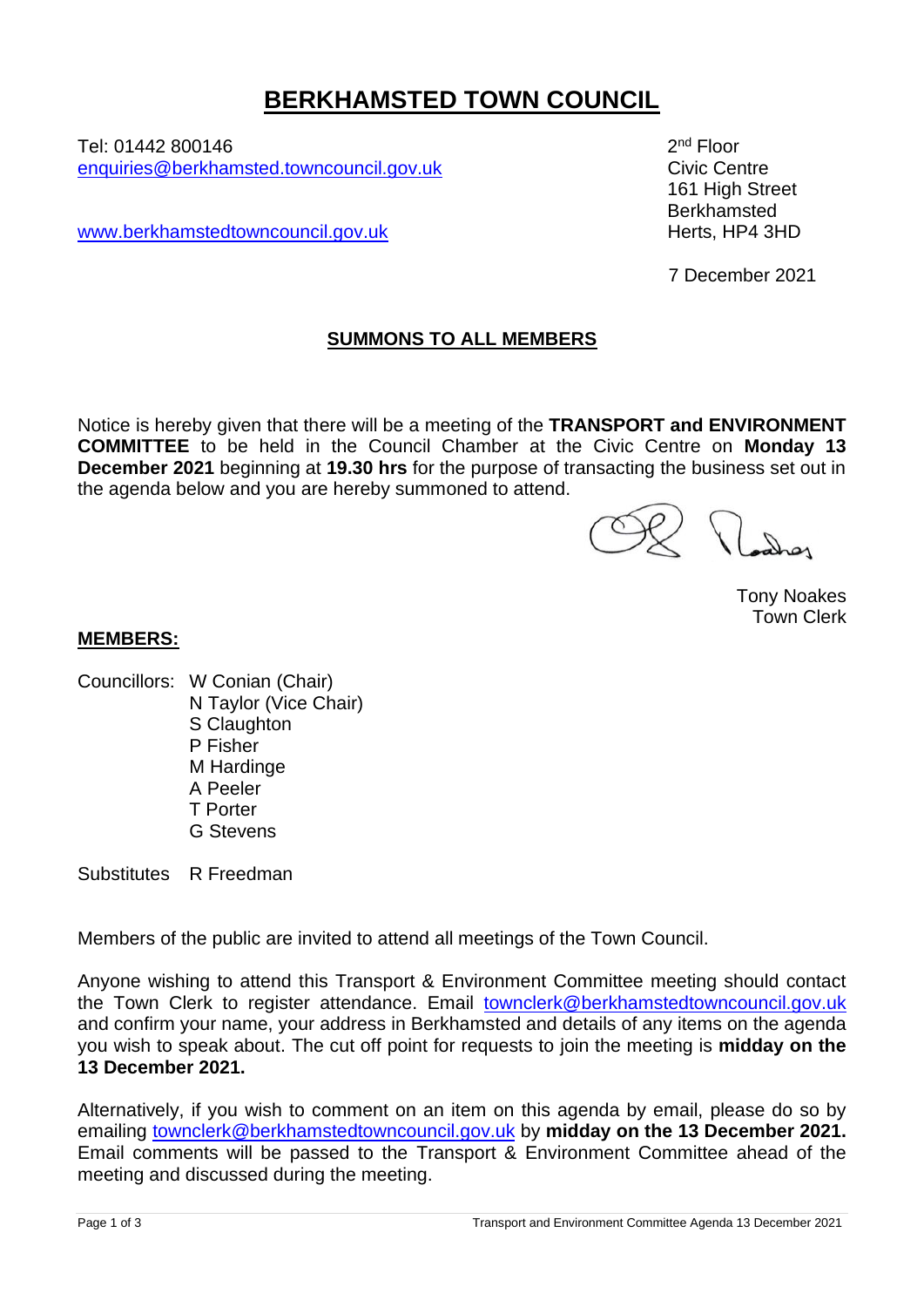# **BERKHAMSTED TOWN COUNCIL**

Tel: 01442 800146 2 [enquiries@berkhamsted.towncouncil.gov.uk](mailto:enquiries@berkhamsted.towncouncil.gov.uk) Civic Centre

[www.berkhamstedtowncouncil.gov.uk](http://www.berkhamstedtowncouncil.gov.uk/) https://www.berkhamstedtowncouncil.gov.uk

2<sup>nd</sup> Floor 161 High Street Berkhamsted

7 December 2021

## **SUMMONS TO ALL MEMBERS**

Notice is hereby given that there will be a meeting of the **TRANSPORT and ENVIRONMENT COMMITTEE** to be held in the Council Chamber at the Civic Centre on **Monday 13 December 2021** beginning at **19.30 hrs** for the purpose of transacting the business set out in the agenda below and you are hereby summoned to attend.

Tony Noakes Town Clerk

## **MEMBERS:**

Councillors: W Conian (Chair) N Taylor (Vice Chair) S Claughton P Fisher M Hardinge A Peeler T Porter G Stevens

Substitutes R Freedman

Members of the public are invited to attend all meetings of the Town Council.

Anyone wishing to attend this Transport & Environment Committee meeting should contact the Town Clerk to register attendance. Email [townclerk@berkhamstedtowncouncil.gov.uk](mailto:townclerk@berkhamstedtowncouncil.gov.uk) and confirm your name, your address in Berkhamsted and details of any items on the agenda you wish to speak about. The cut off point for requests to join the meeting is **midday on the 13 December 2021.**

Alternatively, if you wish to comment on an item on this agenda by email, please do so by emailing [townclerk@berkhamstedtowncouncil.gov.uk](mailto:townclerk@berkhamstedtowncouncil.gov.uk) by **midday on the 13 December 2021.** Email comments will be passed to the Transport & Environment Committee ahead of the meeting and discussed during the meeting.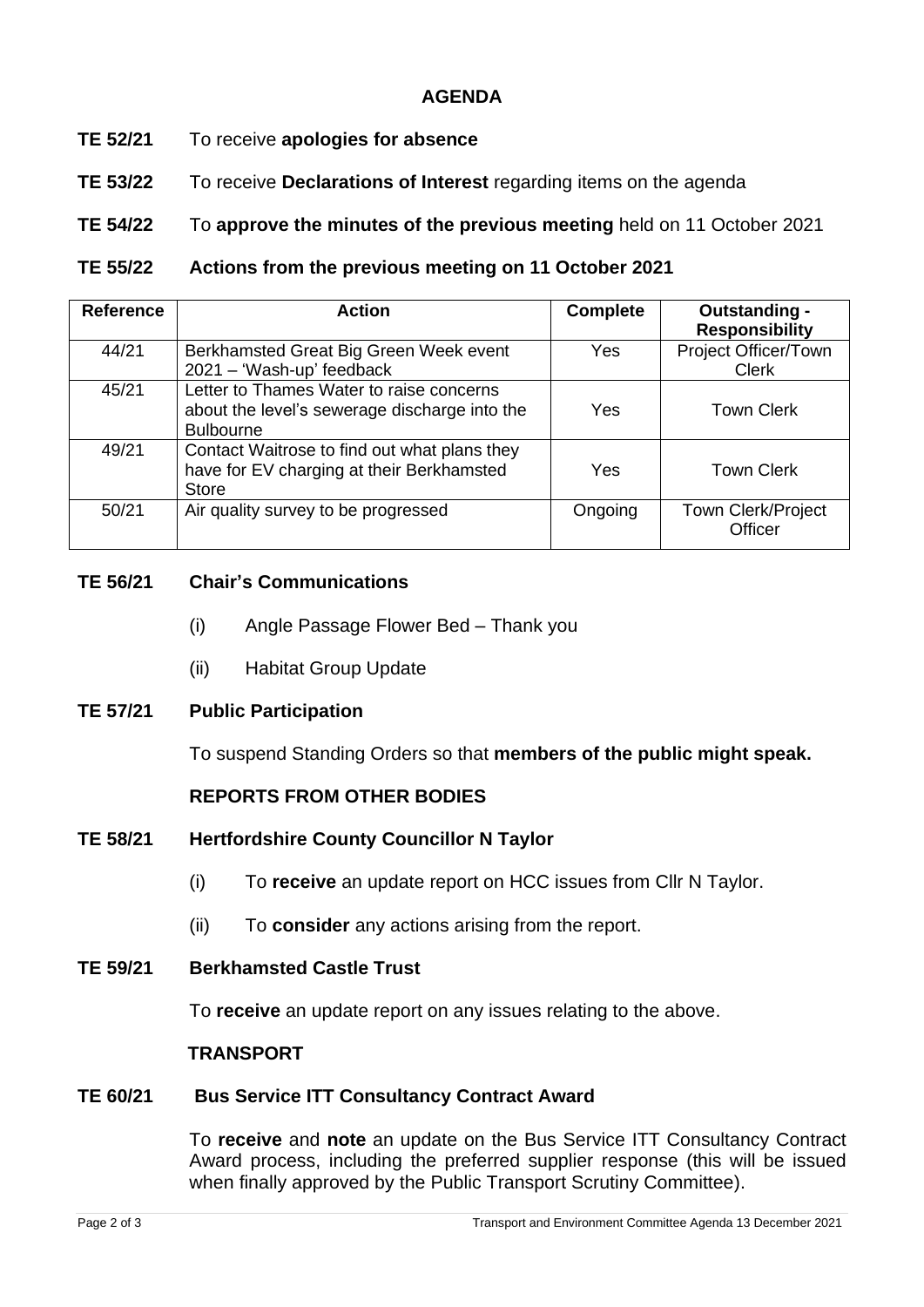## **AGENDA**

- **TE 52/21** To receive **apologies for absence**
- **TE 53/22** To receive **Declarations of Interest** regarding items on the agenda

**TE 54/22** To **approve the minutes of the previous meeting** held on 11 October 2021

**TE 55/22 Actions from the previous meeting on 11 October 2021**

| <b>Reference</b> | <b>Action</b>                                                                                                 | <b>Complete</b> | Outstanding -<br><b>Responsibility</b> |
|------------------|---------------------------------------------------------------------------------------------------------------|-----------------|----------------------------------------|
| 44/21            | Berkhamsted Great Big Green Week event<br>2021 - 'Wash-up' feedback                                           | Yes             | Project Officer/Town<br><b>Clerk</b>   |
| 45/21            | Letter to Thames Water to raise concerns<br>about the level's sewerage discharge into the<br><b>Bulbourne</b> | Yes             | <b>Town Clerk</b>                      |
| 49/21            | Contact Waitrose to find out what plans they<br>have for EV charging at their Berkhamsted<br><b>Store</b>     | Yes             | <b>Town Clerk</b>                      |
| 50/21            | Air quality survey to be progressed                                                                           | Ongoing         | <b>Town Clerk/Project</b><br>Officer   |

- **TE 56/21 Chair's Communications**
	- (i) Angle Passage Flower Bed Thank you
	- (ii) Habitat Group Update
- **TE 57/21 Public Participation**

To suspend Standing Orders so that **members of the public might speak.**

## **REPORTS FROM OTHER BODIES**

- **TE 58/21 Hertfordshire County Councillor N Taylor**
	- (i) To **receive** an update report on HCC issues from Cllr N Taylor.
	- (ii) To **consider** any actions arising from the report.
- **TE 59/21 Berkhamsted Castle Trust**

To **receive** an update report on any issues relating to the above.

#### **TRANSPORT**

#### **TE 60/21 Bus Service ITT Consultancy Contract Award**

To **receive** and **note** an update on the Bus Service ITT Consultancy Contract Award process, including the preferred supplier response (this will be issued when finally approved by the Public Transport Scrutiny Committee).